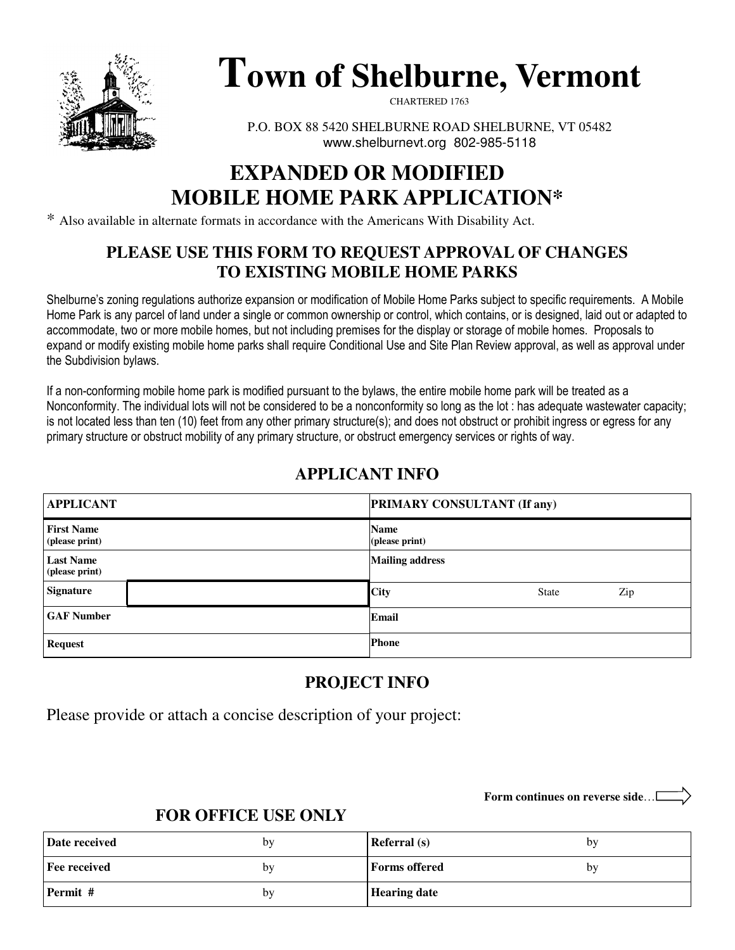

# **Town of Shelburne, Vermont**

CHARTERED 1763

P.O. BOX 88 5420 SHELBURNE ROAD SHELBURNE, VT 05482 www.shelburnevt.org 802-985-5118

## **EXPANDED OR MODIFIED MOBILE HOME PARK APPLICATION\***

\* Also available in alternate formats in accordance with the Americans With Disability Act.

### **PLEASE USE THIS FORM TO REQUEST APPROVAL OF CHANGES TO EXISTING MOBILE HOME PARKS**

Shelburne's zoning regulations authorize expansion or modification of Mobile Home Parks subject to specific requirements. A Mobile Home Park is any parcel of land under a single or common ownership or control, which contains, or is designed, laid out or adapted to accommodate, two or more mobile homes, but not including premises for the display or storage of mobile homes. Proposals to expand or modify existing mobile home parks shall require Conditional Use and Site Plan Review approval, as well as approval under the Subdivision bylaws.

If a non-conforming mobile home park is modified pursuant to the bylaws, the entire mobile home park will be treated as a Nonconformity. The individual lots will not be considered to be a nonconformity so long as the lot : has adequate wastewater capacity; is not located less than ten (10) feet from any other primary structure(s); and does not obstruct or prohibit ingress or egress for any primary structure or obstruct mobility of any primary structure, or obstruct emergency services or rights of way.

| <b>APPLICANT</b>                    | <b>PRIMARY CONSULTANT (If any)</b> |  |  |  |
|-------------------------------------|------------------------------------|--|--|--|
| <b>First Name</b><br>(please print) | <b>Name</b><br>(please print)      |  |  |  |
| <b>Last Name</b><br>(please print)  | <b>Mailing address</b>             |  |  |  |
| Signature                           | <b>City</b><br>Zip<br><b>State</b> |  |  |  |
| <b>GAF Number</b>                   | Email                              |  |  |  |
| <b>Request</b>                      | <b>Phone</b>                       |  |  |  |

### **APPLICANT INFO**

### **PROJECT INFO**

Please provide or attach a concise description of your project:

**Form continues on reverse side**…

### **FOR OFFICE USE ONLY**

| Date received       | by | <b>Referral</b> (s)  | by |
|---------------------|----|----------------------|----|
| <b>Fee received</b> | by | <b>Forms</b> offered | bv |
| Permit #            | by | <b>Hearing date</b>  |    |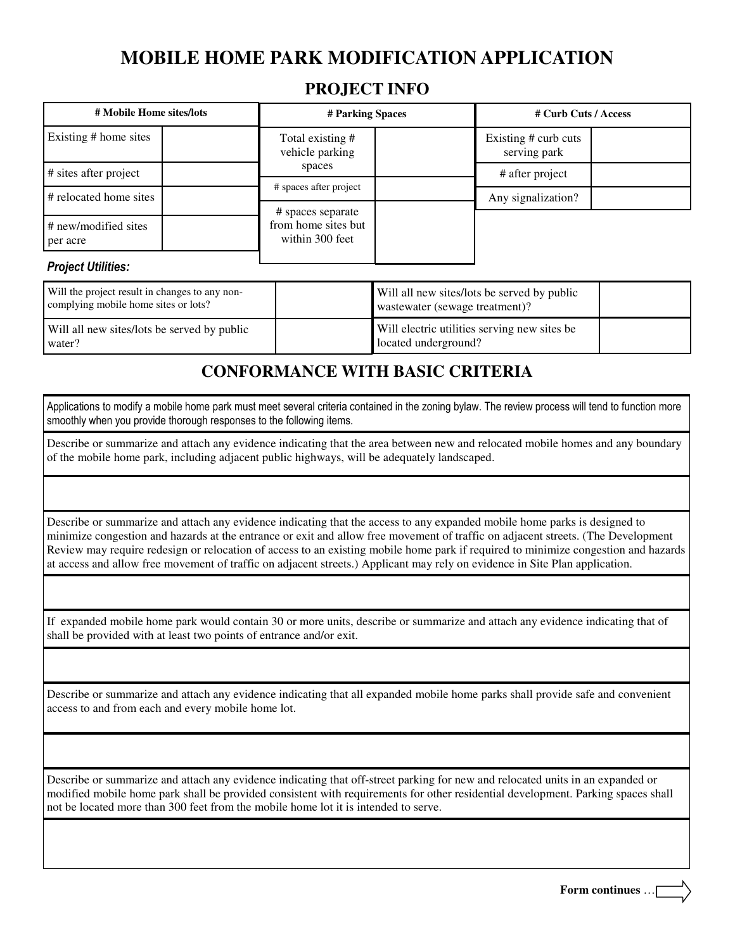### **MOBILE HOME PARK MODIFICATION APPLICATION**

#### **PROJECT INFO**

| # Mobile Home sites/lots                         | # Parking Spaces                                            |  | # Curb Cuts / Access                 |  |
|--------------------------------------------------|-------------------------------------------------------------|--|--------------------------------------|--|
| Existing # home sites                            | Total existing #<br>vehicle parking                         |  | Existing # curb cuts<br>serving park |  |
| # sites after project                            | spaces                                                      |  | # after project                      |  |
| # spaces after project<br># relocated home sites |                                                             |  |                                      |  |
|                                                  | # spaces separate<br>from home sites but<br>within 300 feet |  | Any signalization?                   |  |
| # new/modified sites<br>per acre                 |                                                             |  |                                      |  |

#### Project Utilities:

| Will the project result in changes to any non-<br>complying mobile home sites or lots? | Will all new sites/lots be served by public<br>wastewater (sewage treatment)? |  |
|----------------------------------------------------------------------------------------|-------------------------------------------------------------------------------|--|
| Will all new sites/lots be served by public<br>water?                                  | Will electric utilities serving new sites be<br>located underground?          |  |

### **CONFORMANCE WITH BASIC CRITERIA**

Applications to modify a mobile home park must meet several criteria contained in the zoning bylaw. The review process will tend to function more smoothly when you provide thorough responses to the following items.

Describe or summarize and attach any evidence indicating that the area between new and relocated mobile homes and any boundary of the mobile home park, including adjacent public highways, will be adequately landscaped.

Describe or summarize and attach any evidence indicating that the access to any expanded mobile home parks is designed to minimize congestion and hazards at the entrance or exit and allow free movement of traffic on adjacent streets. (The Development Review may require redesign or relocation of access to an existing mobile home park if required to minimize congestion and hazards at access and allow free movement of traffic on adjacent streets.) Applicant may rely on evidence in Site Plan application.

**SIGN PLOT PLAN CHECKLIST**

If expanded mobile home park would contain 30 or more units, describe or summarize and attach any evidence indicating that of shall be provided with at least two points of entrance and/or exit.

Describe or summarize and attach any evidence indicating that all expanded mobile home parks shall provide safe and convenient access to and from each and every mobile home lot.

Describe or summarize and attach any evidence indicating that off-street parking for new and relocated units in an expanded or modified mobile home park shall be provided consistent with requirements for other residential development. Parking spaces shall not be located more than 300 feet from the mobile home lot it is intended to serve.

**Form continues** …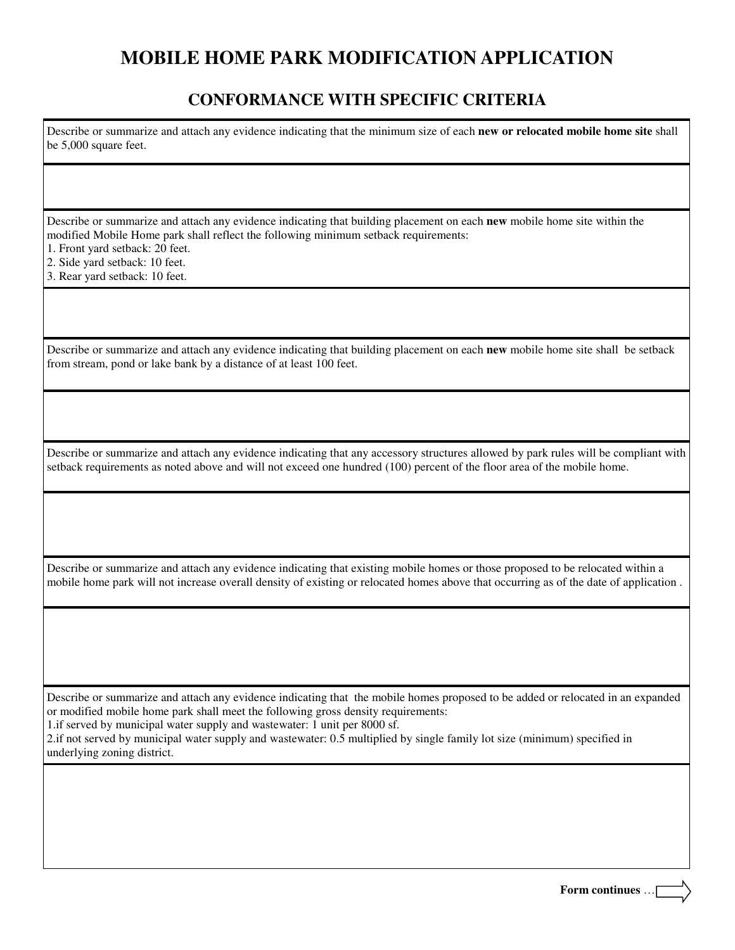### **MOBILE HOME PARK MODIFICATION APPLICATION**

#### **CONFORMANCE WITH SPECIFIC CRITERIA**

Describe or summarize and attach any evidence indicating that the minimum size of each **new or relocated mobile home site** shall be 5,000 square feet.

Describe or summarize and attach any evidence indicating that building placement on each **new** mobile home site within the modified Mobile Home park shall reflect the following minimum setback requirements:

1. Front yard setback: 20 feet.

2. Side yard setback: 10 feet.

3. Rear yard setback: 10 feet.

Describe or summarize and attach any evidence indicating that building placement on each **new** mobile home site shall be setback from stream, pond or lake bank by a distance of at least 100 feet.

Describe or summarize and attach any evidence indicating that any accessory structures allowed by park rules will be compliant with setback requirements as noted above and will not exceed one hundred (100) percent of the floor area of the mobile home.

Describe or summarize and attach any evidence indicating that existing mobile homes or those proposed to be relocated within a mobile home park will not increase overall density of existing or relocated homes above that occurring as of the date of application .

Describe or summarize and attach any evidence indicating that the mobile homes proposed to be added or relocated in an expanded or modified mobile home park shall meet the following gross density requirements:

1.if served by municipal water supply and wastewater: 1 unit per 8000 sf.

2.if not served by municipal water supply and wastewater: 0.5 multiplied by single family lot size (minimum) specified in underlying zoning district.